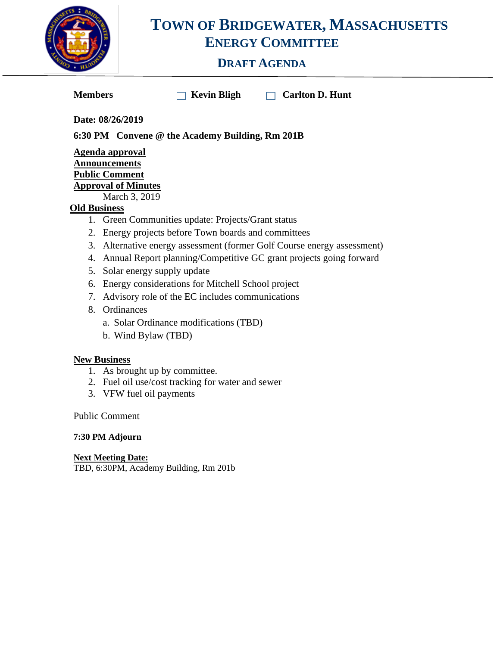

## **TOWN OF BRIDGEWATER, MASSACHUSETTS ENERGY COMMITTEE**

### **DRAFT AGENDA**

**Members Kevin Bligh Carlton D. Hunt** 

**Date: 08/26/2019**

**6:30 PM Convene @ the Academy Building, Rm 201B**

#### **Agenda approval Announcements Public Comment Approval of Minutes**

March 3, 2019

#### **Old Business**

- 1. Green Communities update: Projects/Grant status
- 2. Energy projects before Town boards and committees
- 3. Alternative energy assessment (former Golf Course energy assessment)
- 4. Annual Report planning/Competitive GC grant projects going forward
- 5. Solar energy supply update
- 6. Energy considerations for Mitchell School project
- 7. Advisory role of the EC includes communications
- 8. Ordinances
	- a. Solar Ordinance modifications (TBD)
	- b. Wind Bylaw (TBD)

#### **New Business**

- 1. As brought up by committee.
- 2. Fuel oil use/cost tracking for water and sewer
- 3. VFW fuel oil payments

Public Comment

#### **7:30 PM Adjourn**

**Next Meeting Date:**  TBD, 6:30PM, Academy Building, Rm 201b